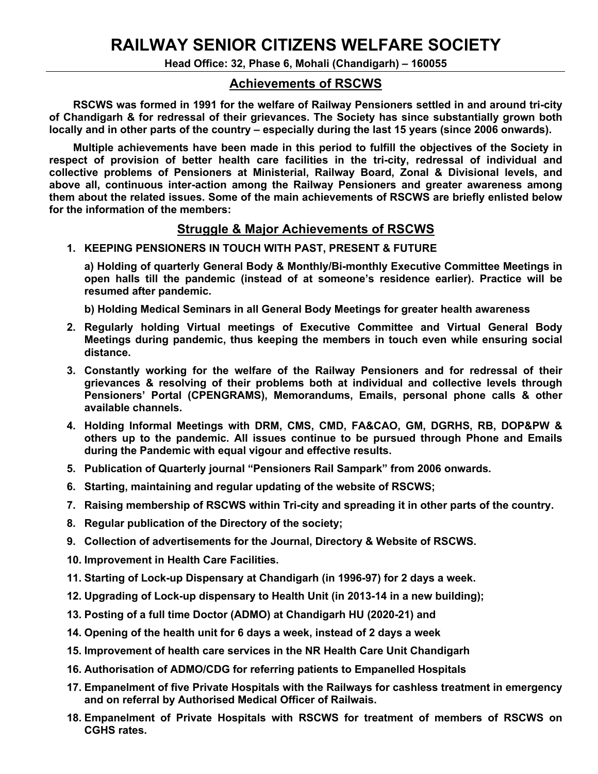## **RAILWAY SENIOR CITIZENS WELFARE SOCIETY**

**Head Office: 32, Phase 6, Mohali (Chandigarh) – 160055** 

## **Achievements of RSCWS**

 **RSCWS was formed in 1991 for the welfare of Railway Pensioners settled in and around tri-city of Chandigarh & for redressal of their grievances. The Society has since substantially grown both locally and in other parts of the country – especially during the last 15 years (since 2006 onwards).**

 **Multiple achievements have been made in this period to fulfill the objectives of the Society in respect of provision of better health care facilities in the tri-city, redressal of individual and collective problems of Pensioners at Ministerial, Railway Board, Zonal & Divisional levels, and above all, continuous inter-action among the Railway Pensioners and greater awareness among them about the related issues. Some of the main achievements of RSCWS are briefly enlisted below for the information of the members:**

## **Struggle & Major Achievements of RSCWS**

## **1. KEEPING PENSIONERS IN TOUCH WITH PAST, PRESENT & FUTURE**

**a) Holding of quarterly General Body & Monthly/Bi-monthly Executive Committee Meetings in open halls till the pandemic (instead of at someone's residence earlier). Practice will be resumed after pandemic.**

**b) Holding Medical Seminars in all General Body Meetings for greater health awareness**

- **2. Regularly holding Virtual meetings of Executive Committee and Virtual General Body Meetings during pandemic, thus keeping the members in touch even while ensuring social distance.**
- **3. Constantly working for the welfare of the Railway Pensioners and for redressal of their grievances & resolving of their problems both at individual and collective levels through Pensioners' Portal (CPENGRAMS), Memorandums, Emails, personal phone calls & other available channels.**
- **4. Holding Informal Meetings with DRM, CMS, CMD, FA&CAO, GM, DGRHS, RB, DOP&PW & others up to the pandemic. All issues continue to be pursued through Phone and Emails during the Pandemic with equal vigour and effective results.**
- **5. Publication of Quarterly journal "Pensioners Rail Sampark" from 2006 onwards***.*
- **6. Starting, maintaining and regular updating of the website of RSCWS;**
- **7. Raising membership of RSCWS within Tri-city and spreading it in other parts of the country.**
- **8. Regular publication of the Directory of the society;**
- **9. Collection of advertisements for the Journal, Directory & Website of RSCWS.**
- **10. Improvement in Health Care Facilities.**
- **11. Starting of Lock-up Dispensary at Chandigarh (in 1996-97) for 2 days a week.**
- **12. Upgrading of Lock-up dispensary to Health Unit (in 2013-14 in a new building);**
- **13. Posting of a full time Doctor (ADMO) at Chandigarh HU (2020-21) and**
- **14. Opening of the health unit for 6 days a week, instead of 2 days a week**
- **15. Improvement of health care services in the NR Health Care Unit Chandigarh**
- **16. Authorisation of ADMO/CDG for referring patients to Empanelled Hospitals**
- **17. Empanelment of five Private Hospitals with the Railways for cashless treatment in emergency and on referral by Authorised Medical Officer of Railwais.**
- **18. Empanelment of Private Hospitals with RSCWS for treatment of members of RSCWS on CGHS rates.**